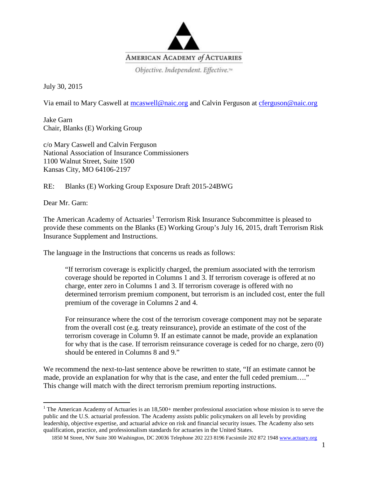

July 30, 2015

Via email to Mary Caswell at [mcaswell@naic.org](mailto:mcaswell@naic.org) and Calvin Ferguson at [cferguson@naic.org](mailto:cferguson@naic.org)

Jake Garn Chair, Blanks (E) Working Group

c/o Mary Caswell and Calvin Ferguson National Association of Insurance Commissioners 1100 Walnut Street, Suite 1500 Kansas City, MO 64106-2197

RE: Blanks (E) Working Group Exposure Draft 2015-24BWG

Dear Mr. Garn:

The American Academy of Actuaries<sup>[1](#page-0-0)</sup> Terrorism Risk Insurance Subcommittee is pleased to provide these comments on the Blanks (E) Working Group's July 16, 2015, draft Terrorism Risk Insurance Supplement and Instructions.

The language in the Instructions that concerns us reads as follows:

"If terrorism coverage is explicitly charged, the premium associated with the terrorism coverage should be reported in Columns 1 and 3. If terrorism coverage is offered at no charge, enter zero in Columns 1 and 3. If terrorism coverage is offered with no determined terrorism premium component, but terrorism is an included cost, enter the full premium of the coverage in Columns 2 and 4.

For reinsurance where the cost of the terrorism coverage component may not be separate from the overall cost (e.g. treaty reinsurance), provide an estimate of the cost of the terrorism coverage in Column 9. If an estimate cannot be made, provide an explanation for why that is the case. If terrorism reinsurance coverage is ceded for no charge, zero (0) should be entered in Columns 8 and 9."

We recommend the next-to-last sentence above be rewritten to state, "If an estimate cannot be made, provide an explanation for why that is the case, and enter the full ceded premium…." This change will match with the direct terrorism premium reporting instructions.

<span id="page-0-0"></span><sup>&</sup>lt;sup>1</sup> The American Academy of Actuaries is an  $18,500+$  member professional association whose mission is to serve the public and the U.S. actuarial profession. The Academy assists public policymakers on all levels by providing leadership, objective expertise, and actuarial advice on risk and financial security issues. The Academy also sets qualification, practice, and professionalism standards for actuaries in the United States.

<sup>1850</sup> M Street, NW Suite 300 Washington, DC 20036 Telephone 202 223 8196 Facsimile 202 872 1948 [www.actuary.org](http://www.actuary.org/)